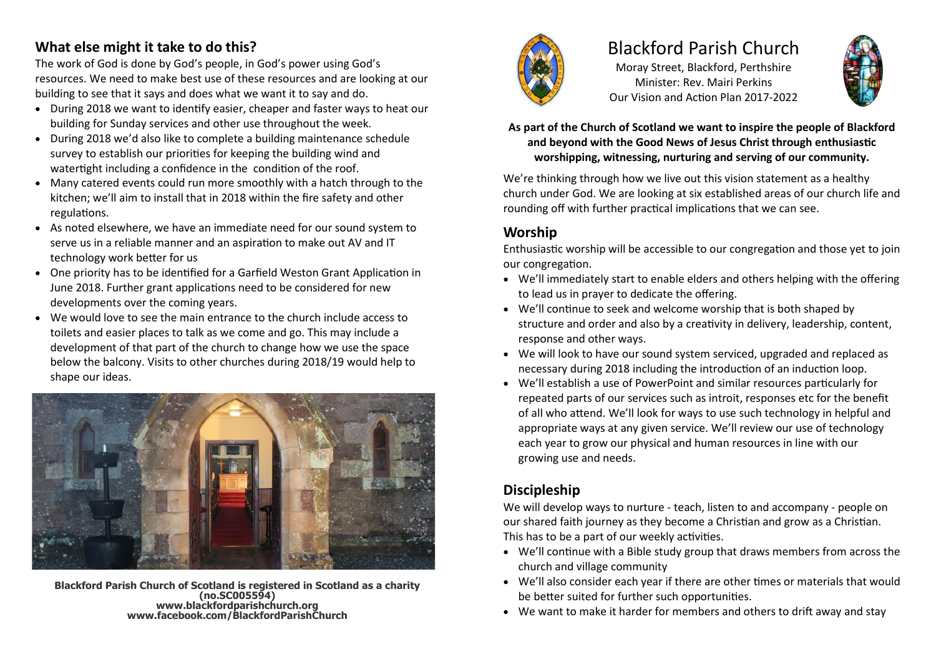### **What else might it take to do this?**

The work of God is done by God's people, in God's power using God's resources. We need to make best use of these resources and are looking at our building to see that it says and does what we want it to say and do.

- During 2018 we want to identify easier, cheaper and faster ways to heat our building for Sunday services and other use throughout the week.
- During 2018 we'd also like to complete a building maintenance schedule survey to establish our priorities for keeping the building wind and watertight including a confidence in the condition of the roof.
- Many catered events could run more smoothly with a hatch through to the kitchen; we'll aim to install that in 2018 within the fire safety and other regulations.
- As noted elsewhere, we have an immediate need for our sound system to serve us in a reliable manner and an aspiration to make out AV and IT technology work better for us
- One priority has to be identified for a Garfield Weston Grant Application in June 2018. Further grant applications need to be considered for new developments over the coming years.
- We would love to see the main entrance to the church include access to toilets and easier places to talk as we come and go. This may include a development of that part of the church to change how we use the space below the balcony. Visits to other churches during 2018/19 would help to shape our ideas.



**Blackford Parish Church of Scotland is registered in Scotland as a charity (no.SC005594) www.blackfordparishchurch.org www.facebook.com/BlackfordParishChurch**



# Blackford Parish Church

Moray Street, Blackford, Perthshire Minister: Rev. Mairi Perkins Our Vision and Action Plan 2017-2022



#### **As part of the Church of Scotland we want to inspire the people of Blackford and beyond with the Good News of Jesus Christ through enthusiastic worshipping, witnessing, nurturing and serving of our community.**

We're thinking through how we live out this vision statement as a healthy church under God. We are looking at six established areas of our church life and rounding off with further practical implications that we can see.

### **Worship**

Enthusiastic worship will be accessible to our congregation and those yet to join our congregation.

- We'll immediately start to enable elders and others helping with the offering to lead us in prayer to dedicate the offering.
- We'll continue to seek and welcome worship that is both shaped by structure and order and also by a creativity in delivery, leadership, content, response and other ways.
- We will look to have our sound system serviced, upgraded and replaced as necessary during 2018 including the introduction of an induction loop.
- We'll establish a use of PowerPoint and similar resources particularly for repeated parts of our services such as introit, responses etc for the benefit of all who attend. We'll look for ways to use such technology in helpful and appropriate ways at any given service. We'll review our use of technology each year to grow our physical and human resources in line with our growing use and needs.

## **Discipleship**

We will develop ways to nurture - teach, listen to and accompany - people on our shared faith journey as they become a Christian and grow as a Christian. This has to be a part of our weekly activities.

- We'll continue with a Bible study group that draws members from across the church and village community
- We'll also consider each year if there are other times or materials that would be better suited for further such opportunities.
- We want to make it harder for members and others to drift away and stay